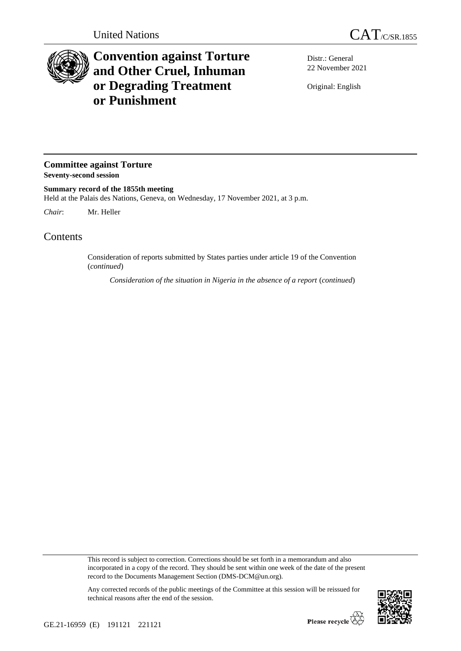

## **Convention against Torture and Other Cruel, Inhuman or Degrading Treatment or Punishment**

Distr.: General 22 November 2021

Original: English

**Committee against Torture Seventy-second session**

**Summary record of the 1855th meeting** Held at the Palais des Nations, Geneva, on Wednesday, 17 November 2021, at 3 p.m.

*Chair*: Mr. Heller

Contents

Consideration of reports submitted by States parties under article 19 of the Convention (*continued*)

*Consideration of the situation in Nigeria in the absence of a report* (*continued*)

This record is subject to correction. Corrections should be set forth in a memorandum and also incorporated in a copy of the record. They should be sent within one week of the date of the present record to the Documents Management Section (DMS-DCM@un.org).



Any corrected records of the public meetings of the Committee at this session will be reissued for technical reasons after the end of the session.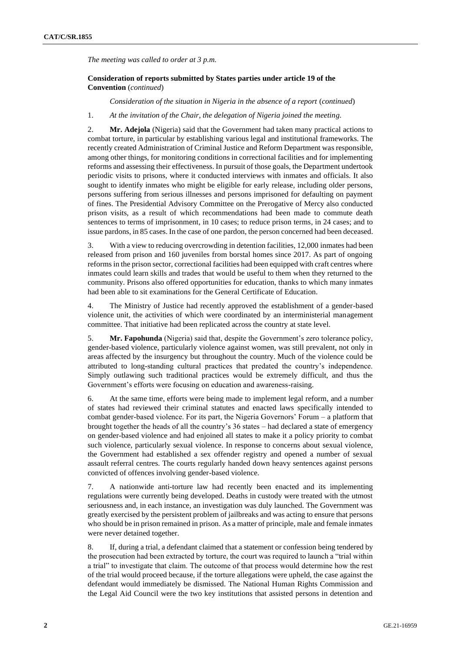*The meeting was called to order at 3 p.m.*

## **Consideration of reports submitted by States parties under article 19 of the Convention** (*continued*)

*Consideration of the situation in Nigeria in the absence of a report* (*continued*)

1. *At the invitation of the Chair, the delegation of Nigeria joined the meeting.*

2. **Mr. Adejola** (Nigeria) said that the Government had taken many practical actions to combat torture, in particular by establishing various legal and institutional frameworks. The recently created Administration of Criminal Justice and Reform Department was responsible, among other things, for monitoring conditions in correctional facilities and for implementing reforms and assessing their effectiveness. In pursuit of those goals, the Department undertook periodic visits to prisons, where it conducted interviews with inmates and officials. It also sought to identify inmates who might be eligible for early release, including older persons, persons suffering from serious illnesses and persons imprisoned for defaulting on payment of fines. The Presidential Advisory Committee on the Prerogative of Mercy also conducted prison visits, as a result of which recommendations had been made to commute death sentences to terms of imprisonment, in 10 cases; to reduce prison terms, in 24 cases; and to issue pardons, in 85 cases. In the case of one pardon, the person concerned had been deceased.

3. With a view to reducing overcrowding in detention facilities, 12,000 inmates had been released from prison and 160 juveniles from borstal homes since 2017. As part of ongoing reforms in the prison sector, correctional facilities had been equipped with craft centres where inmates could learn skills and trades that would be useful to them when they returned to the community. Prisons also offered opportunities for education, thanks to which many inmates had been able to sit examinations for the General Certificate of Education.

4. The Ministry of Justice had recently approved the establishment of a gender-based violence unit, the activities of which were coordinated by an interministerial management committee. That initiative had been replicated across the country at state level.

5. **Mr. Fapohunda** (Nigeria) said that, despite the Government's zero tolerance policy, gender-based violence, particularly violence against women, was still prevalent, not only in areas affected by the insurgency but throughout the country. Much of the violence could be attributed to long-standing cultural practices that predated the country's independence. Simply outlawing such traditional practices would be extremely difficult, and thus the Government's efforts were focusing on education and awareness-raising.

6. At the same time, efforts were being made to implement legal reform, and a number of states had reviewed their criminal statutes and enacted laws specifically intended to combat gender-based violence. For its part, the Nigeria Governors' Forum – a platform that brought together the heads of all the country's 36 states – had declared a state of emergency on gender-based violence and had enjoined all states to make it a policy priority to combat such violence, particularly sexual violence. In response to concerns about sexual violence, the Government had established a sex offender registry and opened a number of sexual assault referral centres. The courts regularly handed down heavy sentences against persons convicted of offences involving gender-based violence.

7. A nationwide anti-torture law had recently been enacted and its implementing regulations were currently being developed. Deaths in custody were treated with the utmost seriousness and, in each instance, an investigation was duly launched. The Government was greatly exercised by the persistent problem of jailbreaks and was acting to ensure that persons who should be in prison remained in prison. As a matter of principle, male and female inmates were never detained together.

8. If, during a trial, a defendant claimed that a statement or confession being tendered by the prosecution had been extracted by torture, the court was required to launch a "trial within a trial" to investigate that claim. The outcome of that process would determine how the rest of the trial would proceed because, if the torture allegations were upheld, the case against the defendant would immediately be dismissed. The National Human Rights Commission and the Legal Aid Council were the two key institutions that assisted persons in detention and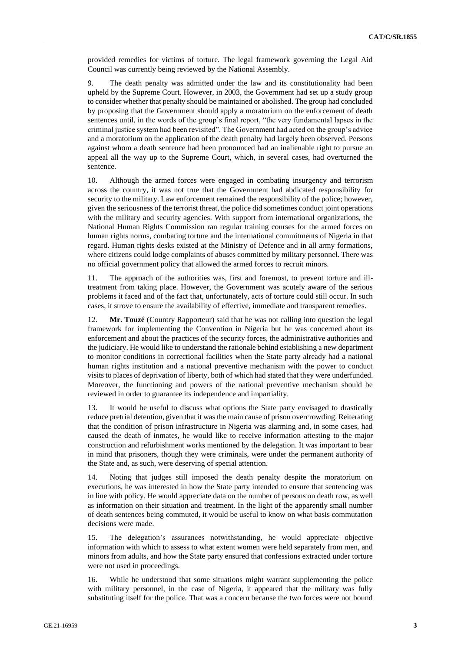provided remedies for victims of torture. The legal framework governing the Legal Aid Council was currently being reviewed by the National Assembly.

9. The death penalty was admitted under the law and its constitutionality had been upheld by the Supreme Court. However, in 2003, the Government had set up a study group to consider whether that penalty should be maintained or abolished. The group had concluded by proposing that the Government should apply a moratorium on the enforcement of death sentences until, in the words of the group's final report, "the very fundamental lapses in the criminal justice system had been revisited". The Government had acted on the group's advice and a moratorium on the application of the death penalty had largely been observed. Persons against whom a death sentence had been pronounced had an inalienable right to pursue an appeal all the way up to the Supreme Court, which, in several cases, had overturned the sentence.

10. Although the armed forces were engaged in combating insurgency and terrorism across the country, it was not true that the Government had abdicated responsibility for security to the military. Law enforcement remained the responsibility of the police; however, given the seriousness of the terrorist threat, the police did sometimes conduct joint operations with the military and security agencies. With support from international organizations, the National Human Rights Commission ran regular training courses for the armed forces on human rights norms, combating torture and the international commitments of Nigeria in that regard. Human rights desks existed at the Ministry of Defence and in all army formations, where citizens could lodge complaints of abuses committed by military personnel. There was no official government policy that allowed the armed forces to recruit minors.

11. The approach of the authorities was, first and foremost, to prevent torture and illtreatment from taking place. However, the Government was acutely aware of the serious problems it faced and of the fact that, unfortunately, acts of torture could still occur. In such cases, it strove to ensure the availability of effective, immediate and transparent remedies.

12. **Mr. Touzé** (Country Rapporteur) said that he was not calling into question the legal framework for implementing the Convention in Nigeria but he was concerned about its enforcement and about the practices of the security forces, the administrative authorities and the judiciary. He would like to understand the rationale behind establishing a new department to monitor conditions in correctional facilities when the State party already had a national human rights institution and a national preventive mechanism with the power to conduct visits to places of deprivation of liberty, both of which had stated that they were underfunded. Moreover, the functioning and powers of the national preventive mechanism should be reviewed in order to guarantee its independence and impartiality.

13. It would be useful to discuss what options the State party envisaged to drastically reduce pretrial detention, given that it was the main cause of prison overcrowding. Reiterating that the condition of prison infrastructure in Nigeria was alarming and, in some cases, had caused the death of inmates, he would like to receive information attesting to the major construction and refurbishment works mentioned by the delegation. It was important to bear in mind that prisoners, though they were criminals, were under the permanent authority of the State and, as such, were deserving of special attention.

14. Noting that judges still imposed the death penalty despite the moratorium on executions, he was interested in how the State party intended to ensure that sentencing was in line with policy. He would appreciate data on the number of persons on death row, as well as information on their situation and treatment. In the light of the apparently small number of death sentences being commuted, it would be useful to know on what basis commutation decisions were made.

15. The delegation's assurances notwithstanding, he would appreciate objective information with which to assess to what extent women were held separately from men, and minors from adults, and how the State party ensured that confessions extracted under torture were not used in proceedings.

16. While he understood that some situations might warrant supplementing the police with military personnel, in the case of Nigeria, it appeared that the military was fully substituting itself for the police. That was a concern because the two forces were not bound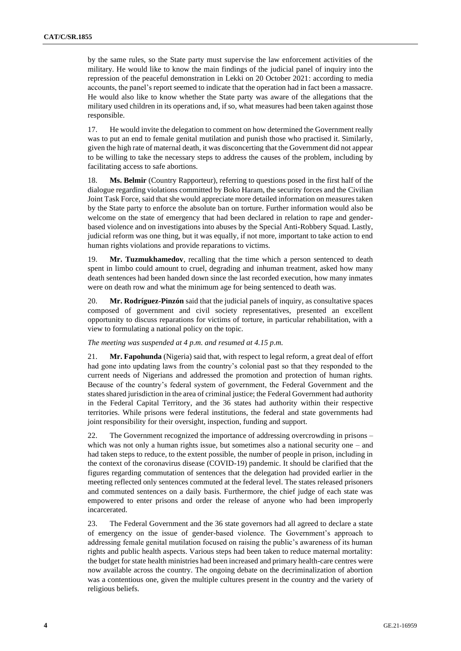by the same rules, so the State party must supervise the law enforcement activities of the military. He would like to know the main findings of the judicial panel of inquiry into the repression of the peaceful demonstration in Lekki on 20 October 2021: according to media accounts, the panel's report seemed to indicate that the operation had in fact been a massacre. He would also like to know whether the State party was aware of the allegations that the military used children in its operations and, if so, what measures had been taken against those responsible.

17. He would invite the delegation to comment on how determined the Government really was to put an end to female genital mutilation and punish those who practised it. Similarly, given the high rate of maternal death, it was disconcerting that the Government did not appear to be willing to take the necessary steps to address the causes of the problem, including by facilitating access to safe abortions.

18. **Ms. Belmir** (Country Rapporteur), referring to questions posed in the first half of the dialogue regarding violations committed by Boko Haram, the security forces and the Civilian Joint Task Force, said that she would appreciate more detailed information on measures taken by the State party to enforce the absolute ban on torture. Further information would also be welcome on the state of emergency that had been declared in relation to rape and genderbased violence and on investigations into abuses by the Special Anti-Robbery Squad. Lastly, judicial reform was one thing, but it was equally, if not more, important to take action to end human rights violations and provide reparations to victims.

19. **Mr. Tuzmukhamedov**, recalling that the time which a person sentenced to death spent in limbo could amount to cruel, degrading and inhuman treatment, asked how many death sentences had been handed down since the last recorded execution, how many inmates were on death row and what the minimum age for being sentenced to death was.

20. **Mr. Rodríguez-Pinzón** said that the judicial panels of inquiry, as consultative spaces composed of government and civil society representatives, presented an excellent opportunity to discuss reparations for victims of torture, in particular rehabilitation, with a view to formulating a national policy on the topic.

## *The meeting was suspended at 4 p.m. and resumed at 4.15 p.m.*

21. **Mr. Fapohunda** (Nigeria) said that, with respect to legal reform, a great deal of effort had gone into updating laws from the country's colonial past so that they responded to the current needs of Nigerians and addressed the promotion and protection of human rights. Because of the country's federal system of government, the Federal Government and the states shared jurisdiction in the area of criminal justice; the Federal Government had authority in the Federal Capital Territory, and the 36 states had authority within their respective territories. While prisons were federal institutions, the federal and state governments had joint responsibility for their oversight, inspection, funding and support.

22. The Government recognized the importance of addressing overcrowding in prisons – which was not only a human rights issue, but sometimes also a national security one  $-$  and had taken steps to reduce, to the extent possible, the number of people in prison, including in the context of the coronavirus disease (COVID-19) pandemic. It should be clarified that the figures regarding commutation of sentences that the delegation had provided earlier in the meeting reflected only sentences commuted at the federal level. The states released prisoners and commuted sentences on a daily basis. Furthermore, the chief judge of each state was empowered to enter prisons and order the release of anyone who had been improperly incarcerated.

23. The Federal Government and the 36 state governors had all agreed to declare a state of emergency on the issue of gender-based violence. The Government's approach to addressing female genital mutilation focused on raising the public's awareness of its human rights and public health aspects. Various steps had been taken to reduce maternal mortality: the budget for state health ministries had been increased and primary health-care centres were now available across the country. The ongoing debate on the decriminalization of abortion was a contentious one, given the multiple cultures present in the country and the variety of religious beliefs.